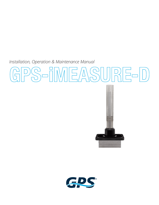*Installation, Operation & Maintenance Manual* 

# S-iMEASURE-D



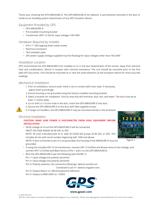Thank your choosing the GPS-iMEASURE-D. The GPS-iMEASURE-D ion detector is permanently mounted in the duct or inside an air handling system downstream of any GPS ionization device.

### *Equipment Provided by GPS:*

- GPS-iMEASURE-D
- Pre-installed mounting bracket
- Transformer (APV 12-24) for input voltages 100-240V

### *Hardware Required by Installer*

- #10 x 1" Self-tapping sheet metal screws
- Electrical connectors
- 18/5 shielded cable
- 24V power supply (voltage supplied must be floating) for input voltages other than 100-240V

# *Installation Location*

GPS recommends the GPS-iMEASURE-D be installed on or in the duct downstream of the ionizer, away from extreme heat and condensation. Mount in location with minimal turbulence. The unit should be mounted prior to the first take-off if any exists. Unit should be mounted at or near the same elevation as the ionization device for more accurate readings.

# *Mechanical Installation*

- 1. Prior to installation, ensure outer mesh is not in contact with inner tube. If necessary, adjust mesh accordingly.
- 2. Ensure housing is not grounded using the factory installed mounting bracket.
- 3. Select a location for installation. Find an area that will minimize, dust, dirt, and water. The duct must be at least 11 inches deep.
- 4. Cut or drill a 2-1/2-inch hole in the duct. Insert the GPS-iMEASURE-D into duct.
- 5. Secure the GPS-iMEASURE-D to the duct with field supplied screws.
- 6. In larger air handlers, the GPS-iMEASURE-D may be mounted entirely in the airstream

# *Electrical Installation*

**!**

### **CAUTION: MAKE SURE POWER IS DISCONNCTED FROM HVAC EQUIPMENT BEFORE INSTALLATION**

• Verify voltage of circuit the GPS-iMEASURE-D will be connected. INPUT VOLTAGE RANGE 20-40 VAC or VDC NOTE: All units manufactured on or after 8/1/2020 will accept 20-40 VAC or VDC. This includes all uits with serial number beginning with 1500 and above. NOTE: If wire connected to pin 4 is not grounded, the housing of the iMEASURE-D must be

grounded. • If using the included APV 12-24 transformer, connect APV 12-24 Blue and Brown wires to line voltage, and

connect APV 12-24 Red and Black wires to Pins 1 and 2 on the GPS-iMEASURE-D.

- Wire the GPS-iMEASURE-D per the following (see FIGURE 1):
	- Pin 1= input voltage (not polarity sensitive)

Pin 2= input voltage (not polarity sensitive)

Pin 3= Polarity selection: No connection (floating)= detects positive ion

Connected to pin 4 = detects negative ions

- Pin 4= Output Return or reference/ground reference
- Pin 5= Output to BMS 0VDC to +10VDC



**www.globalplasmasolutions.com www.gpsair.com**



Figure 1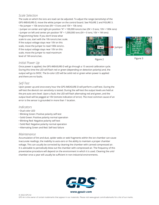# *Scale Selection*

The scale on which the ions are read can be adjusted. To adjust the range (sensitivity) of the GPS-iMEASURE-D, move the white jumper on the control board. See FIGURE 2 and FIGURE 3.

• No Jumper = 10k ions/cc/sec (0V = 0 ions and 10V = 10k ions)

• Jumper on center and right pin position "A" = 100,000 ions/cc/sec (0V = 0 ions; 10V = 100k ions)

• Jumper on left and center pin position "B" = 1,000,000 ions (0V = 0 ions; 10V = 1M ions)

Programming Note: If you don't know what scale to use, start with the 10k ions/cc/sec scale. If the output voltage stays near 10V on this scale, move the jumper to read 100k ions/cc. If the output voltage stays near 10V on this scale, move the jumper to read maximum level of 1M ions/cc/sec.





Figure 2 Figure 3

# *Initial Power Up*

Once power is applied, the GPS-iMEASURE-D will go through a 15 second calibration cycle. During this time the LED will flash red or green (depending on detection polarity) and, the output will go to 0VDC. The bi-color LED will be solid red or green when power is applied and there are no faults.

# *Self-Test*

Upon power up and once every hour the GPS-iMEASURE-D will perform a self-test. During the self-test the device's ion sensitivity is tested. During the self-test the output levels are held at the pre-auto zero level. Upon a fault, the LED will flash alternating red and green, and the output level will be pegged at 10V (remote indication of error). The most common cause of an error is the sensor is grounded in more than 1 location.

# *Indicators*

- Dual color LED
- Blinking Green: Positive polarity self-test
- Solid Green: Positive polarity normal operation
- Blinking Red: Negative polarity self-test
- Solid Red: Negative polarity normal operation
- Alternating Green and Red: Self-test failure

# *Maintenance*

Accumulation of lint and dust, spider webs or web fragments within the ion chamber can cause inaccurate readings, the inability to auto-zero or the ability to maintain a proper chamber voltage. This can usually be corrected by cleaning the chamber with canned compressed air. It is advisable to periodically blow out the chamber with compressed air. The frequency of this preventative procedure will depend on the environment in which it is used. Cleaning the unit/ chamber once a year will usually be sufficient in non-industrial environments.

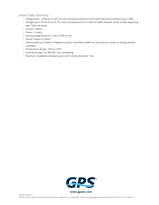# *Sensor Data Summary*

- Voltage Input: 12-24V AC or DC, for units manufactured prior to 8/1/2020 with serial numbers up to 1500
- Voltage Input: 20-4-V AC or DC, for units manufactured on or after 8/1/2020 and with serial number beginning with 1500 and above.
- Current: 100mA
- Power: <2 watts
- Sensing Range (ions/cc): 0-10K, 0-100K, 0-1M
- Sensor Output: 0-10VDC
- Polarity Sensing: Positive or Negative, jumper controlled (a BMS can use a binary contact to change polarity remotely)
- Temperature Range: -20°F to 140°F
- Humidity Range: 0 to 99% RH, non-condensing
- Maximum impedance between pins 4 and 5 shall not exceed 1 kΩ.